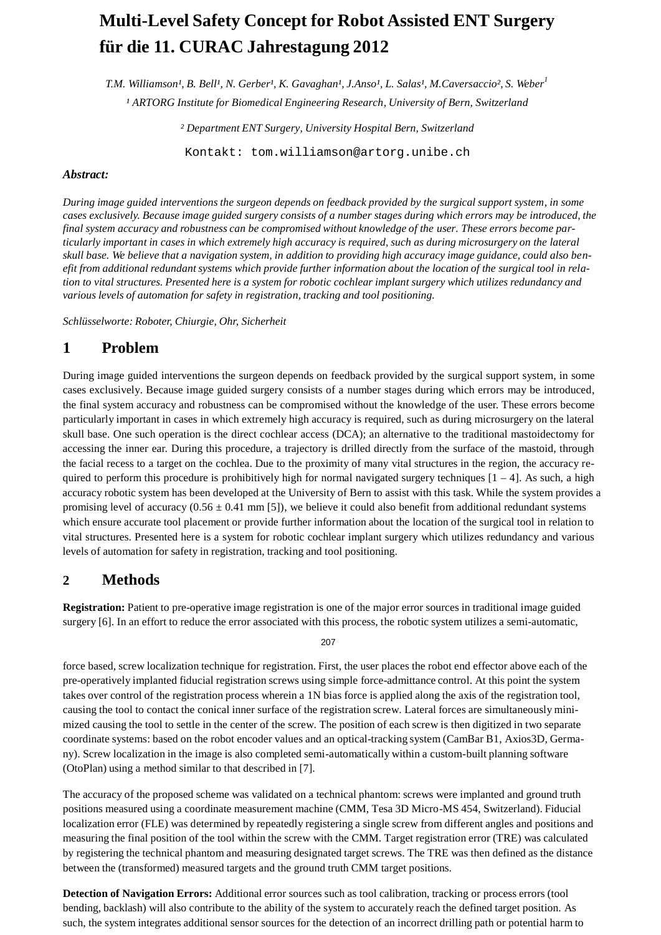# **Multi-Level Safety Concept for Robot Assisted ENT Surgery für die 11. CURAC Jahrestagung 2012**

 $T.M.$  *Williamson<sup>1</sup>, B. Bell<sup>1</sup>, N. Gerber<sup>1</sup>, K. Gavaghan<sup>1</sup>, J.Anso<sup>1</sup>, L. Salas<sup>1</sup>, M. Caversaccio<sup>2</sup>, S. Weber<sup>1</sup> ¹ ARTORG Institute for Biomedical Engineering Research, University of Bern, Switzerland*

*² Department ENT Surgery, University Hospital Bern, Switzerland*

[Kontakt: tom.williamson@artorg.unibe.ch](mailto:tom.williamson@artorg.unibe.ch)

#### *Abstract:*

During image guided interventions the surgeon depends on feedback provided by the surgical support system, in some cases exclusively. Because image guided surgery consists of a number stages during which errors may be introduced, the final system accuracy and robustness can be compromised without knowledge of the user. These errors become particularly important in cases in which extremely high accuracy is required, such as during microsurgery on the lateral skull base. We believe that a navigation system, in addition to providing high accuracy image guidance, could also benefit from additional redundant systems which provide further information about the location of the surgical tool in relation to vital structures. Presented here is a system for robotic cochlear implant surgery which utilizes redundancy and *various levels of automation for safety in registration, tracking and tool positioning.*

*Schlüsselworte: Roboter, Chiurgie, Ohr, Sicherheit*

# **1 Problem**

During image guided interventions the surgeon depends on feedback provided by the surgical support system, in some cases exclusively. Because image guided surgery consists of a number stages during which errors may be introduced, the final system accuracy and robustness can be compromised without the knowledge of the user. These errors become particularly important in cases in which extremely high accuracy is required, such as during microsurgery on the lateral skull base. One such operation is the direct cochlear access (DCA); an alternative to the traditional mastoidectomy for accessing the inner ear. During this procedure, a trajectory is drilled directly from the surface of the mastoid, through the facial recess to a target on the cochlea. Due to the proximity of many vital structures in the region, the accuracy required to perform this procedure is prohibitively high for normal navigated surgery techniques  $[1 - 4]$ . As such, a high accuracy robotic system has been developed at the University of Bern to assist with this task. While the system provides a promising level of accuracy  $(0.56 \pm 0.41 \text{ mm} [5])$ , we believe it could also benefit from additional redundant systems which ensure accurate tool placement or provide further information about the location of the surgical tool in relation to vital structures. Presented here is a system for robotic cochlear implant surgery which utilizes redundancy and various levels of automation for safety in registration, tracking and tool positioning.

# **2 Methods**

**Registration:** Patient to pre-operative image registration is one of the major error sources in traditional image guided surgery [6]. In an effort to reduce the error associated with this process, the robotic system utilizes a semi-automatic,

207

force based, screw localization technique for registration. First, the user places the robot end effector above each of the pre-operatively implanted fiducial registration screws using simple force-admittance control. At this point the system takes over control of the registration process wherein a 1N bias force is applied along the axis of the registration tool, causing the tool to contact the conical inner surface of the registration screw. Lateral forces are simultaneously minimized causing the tool to settle in the center of the screw. The position of each screw is then digitized in two separate coordinate systems: based on the robot encoder values and an optical-tracking system (CamBar B1, Axios3D, Germany). Screw localization in the image is also completed semi-automatically within a custom-built planning software (OtoPlan) using a method similar to that described in [7].

The accuracy of the proposed scheme was validated on a technical phantom: screws were implanted and ground truth positions measured using a coordinate measurement machine (CMM, Tesa 3D Micro-MS 454, Switzerland). Fiducial localization error (FLE) was determined by repeatedly registering a single screw from different angles and positions and measuring the final position of the tool within the screw with the CMM. Target registration error (TRE) was calculated by registering the technical phantom and measuring designated target screws. The TRE was then defined as the distance between the (transformed) measured targets and the ground truth CMM target positions.

**Detection of Navigation Errors:** Additional error sources such as tool calibration, tracking or process errors (tool bending, backlash) will also contribute to the ability of the system to accurately reach the defined target position. As such, the system integrates additional sensor sources for the detection of an incorrect drilling path or potential harm to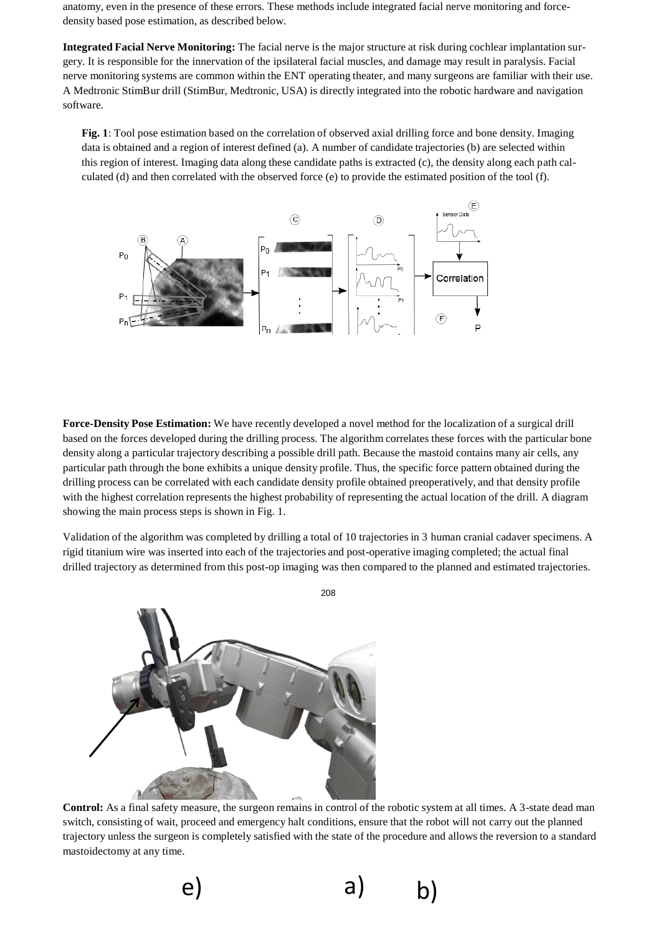anatomy, even in the presence of these errors. These methods include integrated facial nerve monitoring and forcedensity based pose estimation, as described below.

**Integrated Facial Nerve Monitoring:** The facial nerve is the major structure at risk during cochlear implantation surgery. It is responsible for the innervation of the ipsilateral facial muscles, and damage may result in paralysis. Facial nerve monitoring systems are common within the ENT operating theater, and many surgeons are familiar with their use. A Medtronic StimBur drill (StimBur, Medtronic, USA) is directly integrated into the robotic hardware and navigation software.

**Fig. 1**: Tool pose estimation based on the correlation of observed axial drilling force and bone density. Imaging data is obtained and a region of interest defined (a). A number of candidate trajectories (b) are selected within this region of interest. Imaging data along these candidate paths is extracted (c), the density along each path calculated (d) and then correlated with the observed force (e) to provide the estimated position of the tool (f).



**Force-Density Pose Estimation:** We have recently developed a novel method for the localization of a surgical drill based on the forces developed during the drilling process. The algorithm correlates these forces with the particular bone density along a particular trajectory describing a possible drill path. Because the mastoid contains many air cells, any particular path through the bone exhibits a unique density profile. Thus, the specific force pattern obtained during the drilling process can be correlated with each candidate density profile obtained preoperatively, and that density profile with the highest correlation represents the highest probability of representing the actual location of the drill. A diagram showing the main process steps is shown in Fig. 1.

Validation of the algorithm was completed by drilling a total of 10 trajectories in 3 human cranial cadaver specimens. A rigid titanium wire was inserted into each of the trajectories and post-operative imaging completed; the actual final drilled trajectory as determined from this post-op imaging was then compared to the planned and estimated trajectories.



**Control:** As a final safety measure, the surgeon remains in control of the robotic system at all times. A 3-state dead man switch, consisting of wait, proceed and emergency halt conditions, ensure that the robot will not carry out the planned trajectory unless the surgeon is completely satisfied with the state of the procedure and allows the reversion to a standard mastoidectomy at any time.

e) a) b)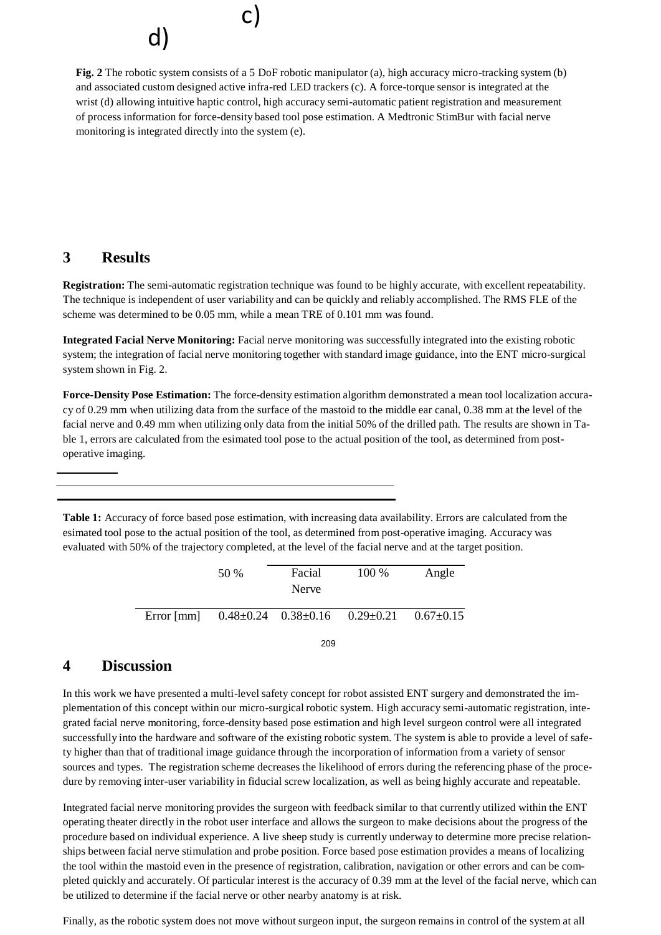c) d)

**Fig. 2** The robotic system consists of a 5 DoF robotic manipulator (a), high accuracy micro-tracking system (b) and associated custom designed active infra-red LED trackers (c). A force-torque sensor is integrated at the wrist (d) allowing intuitive haptic control, high accuracy semi-automatic patient registration and measurement of process information for force-density based tool pose estimation. A Medtronic StimBur with facial nerve monitoring is integrated directly into the system (e).

# **3 Results**

**Registration:** The semi-automatic registration technique was found to be highly accurate, with excellent repeatability. The technique is independent of user variability and can be quickly and reliably accomplished. The RMS FLE of the scheme was determined to be 0.05 mm, while a mean TRE of 0.101 mm was found.

**Integrated Facial Nerve Monitoring:** Facial nerve monitoring was successfully integrated into the existing robotic system; the integration of facial nerve monitoring together with standard image guidance, into the ENT micro-surgical system shown in Fig. 2.

**Force-Density Pose Estimation:** The force-density estimation algorithm demonstrated a mean tool localization accuracy of 0.29 mm when utilizing data from the surface of the mastoid to the middle ear canal, 0.38 mm at the level of the facial nerve and 0.49 mm when utilizing only data from the initial 50% of the drilled path. The results are shown in Table 1, errors are calculated from the esimated tool pose to the actual position of the tool, as determined from postoperative imaging.

**Table 1:** Accuracy of force based pose estimation, with increasing data availability. Errors are calculated from the esimated tool pose to the actual position of the tool, as determined from post-operative imaging. Accuracy was evaluated with 50% of the trajectory completed, at the level of the facial nerve and at the target position.

|            | 50 % | Facial<br>Nerve                 | 100 %                           | Angle |
|------------|------|---------------------------------|---------------------------------|-------|
| Error [mm] |      | $0.48 \pm 0.24$ $0.38 \pm 0.16$ | $0.29 \pm 0.21$ $0.67 \pm 0.15$ |       |

209

# **4 Discussion**

In this work we have presented a multi-level safety concept for robot assisted ENT surgery and demonstrated the implementation of this concept within our micro-surgical robotic system. High accuracy semi-automatic registration, integrated facial nerve monitoring, force-density based pose estimation and high level surgeon control were all integrated successfully into the hardware and software of the existing robotic system. The system is able to provide a level of safety higher than that of traditional image guidance through the incorporation of information from a variety of sensor sources and types. The registration scheme decreases the likelihood of errors during the referencing phase of the procedure by removing inter-user variability in fiducial screw localization, as well as being highly accurate and repeatable.

Integrated facial nerve monitoring provides the surgeon with feedback similar to that currently utilized within the ENT operating theater directly in the robot user interface and allows the surgeon to make decisions about the progress of the procedure based on individual experience. A live sheep study is currently underway to determine more precise relationships between facial nerve stimulation and probe position. Force based pose estimation provides a means of localizing the tool within the mastoid even in the presence of registration, calibration, navigation or other errors and can be completed quickly and accurately. Of particular interest is the accuracy of 0.39 mm at the level of the facial nerve, which can be utilized to determine if the facial nerve or other nearby anatomy is at risk.

Finally, as the robotic system does not move without surgeon input, the surgeon remains in control of the system at all